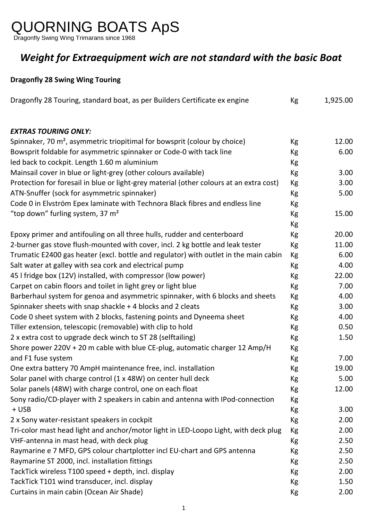## QUORNING BOATS ApS

Dragonfly Swing Wing Trimarans since 1968

## *Weight for Extraequipment wich are not standard with the basic Boat*

## **Dragonfly 28 Swing Wing Touring**

| Dragonfly 28 Touring, standard boat, as per Builders Certificate ex engine              | Kg | 1,925.00 |
|-----------------------------------------------------------------------------------------|----|----------|
| <b>EXTRAS TOURING ONLY:</b>                                                             |    |          |
| Spinnaker, 70 m <sup>2</sup> , asymmetric triopitimal for bowsprit (colour by choice)   | Кg | 12.00    |
| Bowsprit foldable for asymmetric spinnaker or Code-0 with tack line                     | Kg | 6.00     |
| led back to cockpit. Length 1.60 m aluminium                                            | Кg |          |
| Mainsail cover in blue or light-grey (other colours available)                          | Кg | 3.00     |
| Protection for foresail in blue or light-grey material (other colours at an extra cost) | Кg | 3.00     |
| ATN-Snuffer (sock for asymmetric spinnaker)                                             | Kg | 5.00     |
| Code 0 in Elvström Epex laminate with Technora Black fibres and endless line            | Kg |          |
| "top down" furling system, 37 $m2$                                                      | Кg | 15.00    |
|                                                                                         | Кg |          |
| Epoxy primer and antifouling on all three hulls, rudder and centerboard                 | Kg | 20.00    |
| 2-burner gas stove flush-mounted with cover, incl. 2 kg bottle and leak tester          | Кg | 11.00    |
| Trumatic E2400 gas heater (excl. bottle and regulator) with outlet in the main cabin    | Кg | 6.00     |
| Salt water at galley with sea cork and electrical pump                                  | Кg | 4.00     |
| 45 I fridge box (12V) installed, with compressor (low power)                            | Kg | 22.00    |
| Carpet on cabin floors and toilet in light grey or light blue                           | Kg | 7.00     |
| Barberhaul system for genoa and asymmetric spinnaker, with 6 blocks and sheets          | Kg | 4.00     |
| Spinnaker sheets with snap shackle + 4 blocks and 2 cleats                              | Кg | 3.00     |
| Code 0 sheet system with 2 blocks, fastening points and Dyneema sheet                   | Кg | 4.00     |
| Tiller extension, telescopic (removable) with clip to hold                              | Кg | 0.50     |
| 2 x extra cost to upgrade deck winch to ST 28 (selftailing)                             | Кg | 1.50     |
| Shore power 220V + 20 m cable with blue CE-plug, automatic charger 12 Amp/H             | Кg |          |
| and F1 fuse system                                                                      | Кg | 7.00     |
| One extra battery 70 AmpH maintenance free, incl. installation                          | Кg | 19.00    |
| Solar panel with charge control (1 x 48W) on center hull deck                           | Кg | 5.00     |
| Solar panels (48W) with charge control, one on each float                               | Kg | 12.00    |
| Sony radio/CD-player with 2 speakers in cabin and antenna with IPod-connection          | Kg |          |
| + USB                                                                                   | Кg | 3.00     |
| 2 x Sony water-resistant speakers in cockpit                                            | Кg | 2.00     |
| Tri-color mast head light and anchor/motor light in LED-Loopo Light, with deck plug     | Kg | 2.00     |
| VHF-antenna in mast head, with deck plug                                                | Кg | 2.50     |
| Raymarine e 7 MFD, GPS colour chartplotter incl EU-chart and GPS antenna                | Кg | 2.50     |
| Raymarine ST 2000, incl. installation fittings                                          | Кg | 2.50     |
| TackTick wireless T100 speed + depth, incl. display                                     | Кg | 2.00     |
| TackTick T101 wind transducer, incl. display                                            | Kg | 1.50     |
| Curtains in main cabin (Ocean Air Shade)                                                | Кg | 2.00     |